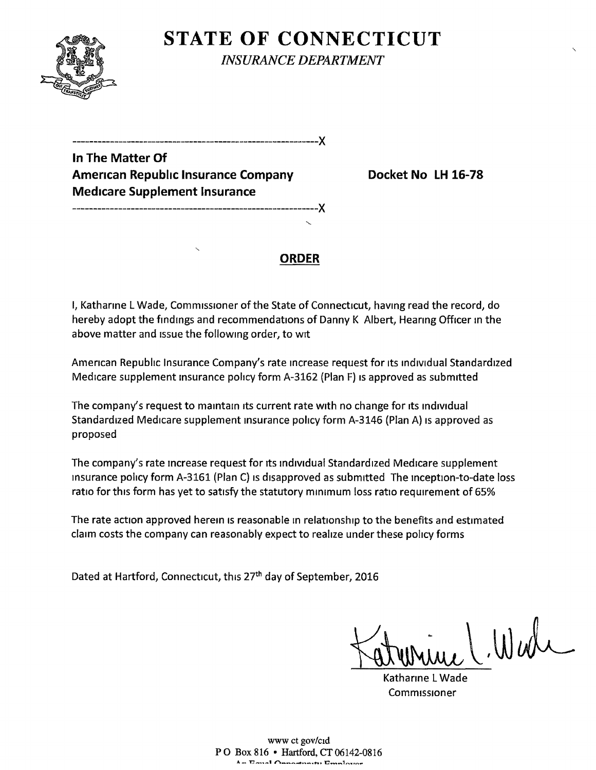

**STATE OF CONNECTICUT** *INSURANCE DEPARTMENT* 

**In The Matter Of**  American Republic Insurance Company **Docket No LH** 16-78 **Med1care Supplement Insurance** 

-----------------------------------------------------------)(

-----------------------------------------------------------)(

### **ORDER**

I, Katharine L Wade, Commissioner of the State of Connecticut, having read the record, do hereby adopt the findings and recommendations of Danny K Albert, Hearing Officer in the above matter and issue the following order, to wit

Amencan Repubhc Insurance Company's rate mcrease request for 1ts md1v1dual Standardized Medicare supplement insurance policy form A-3162 (Plan F) is approved as submitted

The company's request to maintain its current rate with no change for its individual Standardized Medicare supplement insurance policy form A-3146 (Plan A) is approved as proposed

The company's rate increase request for its individual Standardized Medicare supplement insurance policy form A-3161 (Plan C) is disapproved as submitted The inception-to-date loss ratio for this form has yet to satisfy the statutory minimum loss ratio requirement of 65%

The rate action approved herein is reasonable in relationship to the benefits and estimated claim costs the company can reasonably expect to realize under these policy forms

Dated at Hartford, Connecticut, this 27<sup>th</sup> day of September, 2016

Wall

Kathanne l Wade Commissioner

www ct gov/c1d P 0 Box 816 • Hartford, CT 06142-0816 **A- Enal Annotation Employer**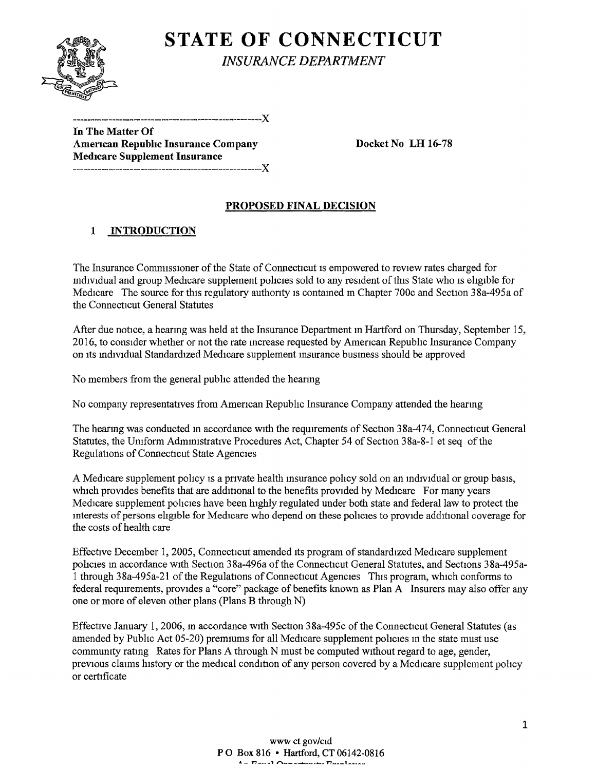

# **STATE OF CONNECTICUT**

*INSURANCE DEPARTMENT* 

In The Matter Of American Republic Insurance Company Docket No LH 16-78 Medicare Supplement Insurance -----------------------------------------------------)(

-----------------------------------------------------)(

## PROPOSED FINAL DECISION

## 1 INTRODUCTION

The Insurance Commissioner of the State of Connecticut is empowered to review rates charged for mdividual and group Medicare supplement policies sold to any resident of this State who is eligible for Medicare The source for this regulatory authority is contained in Chapter 700c and Section 38a-495a of the Connecticut General Statutes

After due notice, a hearmg was held at the Insurance Department m Hartford on Thursday, September 15, 2016, to consider whether or not the rate mcrease requested by Amencan Republic Insurance Company on Its mdrvidual Standardized Medicare supplement msurance busmess should be approved

No members from the general pubhc attended the hearmg

No company representatives from Amencan Repubhc Insurance Company attended the hearmg

The hearmg was conducted in accordance with the requirements of Section 38a-474, Connecticut General Statutes, the Umform Administrative Procedures Act, Chapter 54 of Section 38a-8-1 et seq of the Regulations of Connecticut State Agencies

A Medicare supplement policy is a private health insurance policy sold on an individual or group basis, which provides benefits that are additional to the benefits provided by Medicare For many years Medicare supplement pohcies have been highly regulated under both state and federal law to protect the mterests of persons eligible for Medicare who depend on these policies to provide additional coverage for the costs of health care

Effective December 1, 2005, Connecticut amended 1ts program of standardized Medtcare supplement policies in accordance with Section 38a-496a of the Connecticut General Statutes, and Sections 38a-495a-1 through 38a-495a-21 of the Regulations of Connecticut Agencies This program, which conforms to federal requrrements, provides a "core" package of benefits known as Plan A Insurers may also offer any one or more of eleven other plans (Plans B through N)

Effective January 1, 2006, in accordance with Section 38a-495c of the Connecticut General Statutes (as amended by Public Act 05-20) premiums for all Medicare supplement policies in the state must use community rating Rates for Plans A through N must be computed without regard to age, gender, previous claims history or the medical condition of any person covered by a Medicare supplement policy or certificate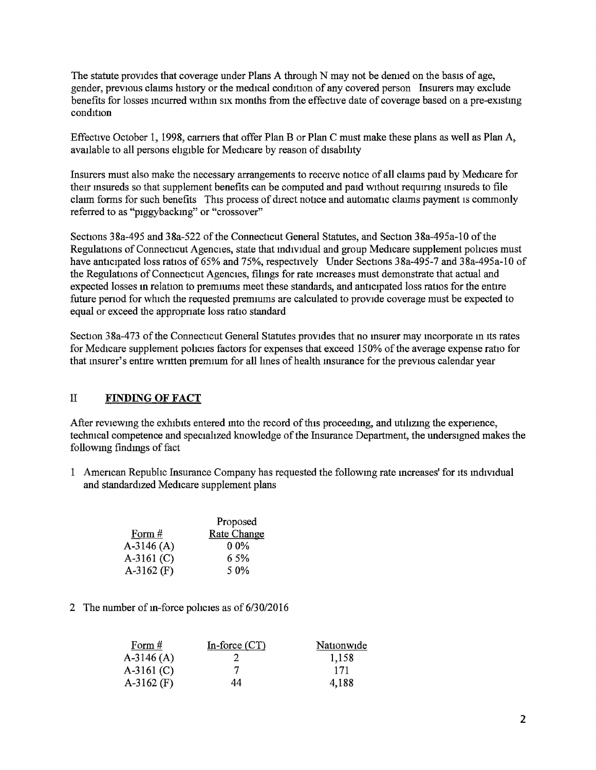The statute provides that coverage under Plans A through N may not be denied on the basis of age, gender, previous claims history or the medical condition of any covered person Insurers may exclude benefits for losses incurred within six months from the effective date of coverage based on a pre-existing condition

Effective October 1, 1998, earners that offer Plan B or Plan C must make these plans as well as Plan A, available to all persons eligible for Medicare by reason of disability

Insurers must also make the necessary arrangements to receive notice of all clatms paid by Medicare for their insureds so that supplement benefits can be computed and paid without requiring insureds to file claim forms for such benefits This process of direct notice and automatic claims payment is commonly referred to as "ptggybackmg" or "crossover"

Sections 38a-495 and 38a-522 of the Connecticut General Statutes, and Section 38a-495a-10 of the Regulations of Connecticut Agencies, state that individual and group Medicare supplement policies must have anticipated loss ratios of 65% and 75%, respectively Under Sections 38a-495-7 and 38a-495a-10 of the Regulations of Connecticut Agencies, filings for rate increases must demonstrate that actual and expected losses in relation to premiums meet these standards, and anticipated loss ratios for the entire future penod for whtch the requested premmms are calculated to provide coverage must be expected to equal or exceed the appropnate loss ratio standard

Section 38a-473 of the Connecticut General Statutes provides that no insurer may incorporate in its rates for Medicare supplement policies factors for expenses that exceed 150% of the average expense ratio for that insurer's entire written premium for all lines of health insurance for the previous calendar year

### ll FINDING OF FACT

After reviewing the exhibits entered into the record of this proceeding, and utilizing the experience, technical competence and specialized knowledge of the Insurance Department, the undersigned makes the following findings of fact

1 Amencan Republic Insurance Company has requested the followmg rate mcreases' for Its mdtvtdual and standardized Medicare supplement plans

|              | Proposed           |
|--------------|--------------------|
| Form $#$     | <b>Rate Change</b> |
| $A-3146(A)$  | $0.0\%$            |
| $A-3161$ (C) | 6.5%               |
| $A-3162$ (F) | 50%                |

2 The number of in-force policies as of 6/30/2016

| Form $#$     | In-force $(CT)$ | Nationwide |
|--------------|-----------------|------------|
| A-3146 $(A)$ | 2               | 1,158      |
| $A-3161 (C)$ |                 | 171        |
| $A-3162$ (F) | 44              | 4,188      |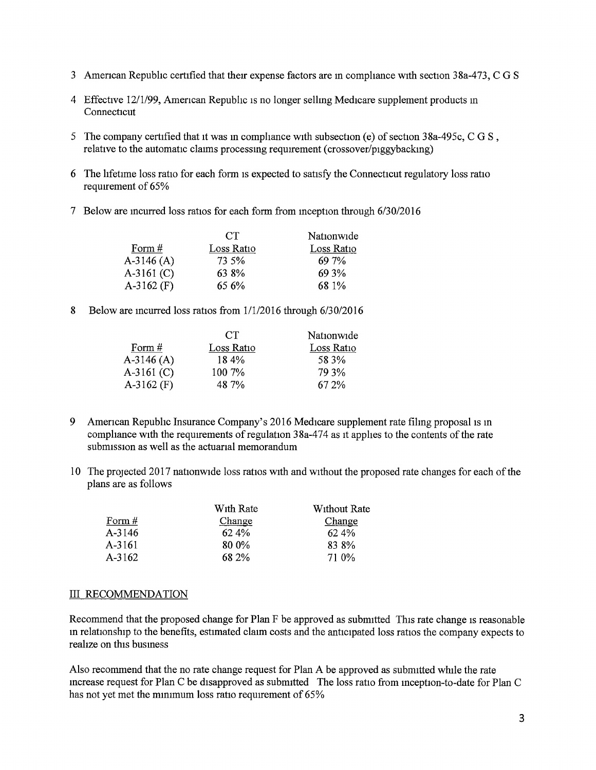- 3 American Republic certified that their expense factors are in compliance with section 38a-473, C G S
- 4 Effective 12/1/99, Amencan Republic IS no longer sellmg Medicare supplement products m **Connecticut**
- 5 The company certified that it was in compliance with subsection (e) of section  $38a-495c$ , C G S, relative to the automatic claims processing requirement (crossover/piggybacking)
- 6 The lifetime loss ratio for each form is expected to satisfy the Connecticut regulatory loss ratio requirement of 65%
- 7 Below are incurred loss ratios for each form from inception through 6/30/2016

|              | CT.        | Nationwide |
|--------------|------------|------------|
| Form $#$     | Loss Ratio | Loss Ratio |
| A-3146 (A)   | 73.5%      | 69 7%      |
| A-3161 (C)   | 63 8%      | 69 3%      |
| $A-3162$ (F) | 65 6%      | 68 1%      |

8 Below are incurred loss ratios from 1/1/2016 through 6/30/2016

| CT.        | Nationwide |
|------------|------------|
| Loss Ratio | Loss Ratio |
| 18.4%      | 58.3%      |
| $100.7\%$  | 79 3%      |
| 48.7%      | 67 2%      |
|            |            |

- 9 American Republic Insurance Company's 2016 Medicare supplement rate filing proposal is in compliance with the requirements of regulation  $38a-474$  as it applies to the contents of the rate submission as well as the actuarial memorandum
- 10 The projected 2017 nationwide loss ratios with and without the proposed rate changes for each of the plans are as follows

|          | With Rate | Without Rate |
|----------|-----------|--------------|
| Form $#$ | Change    | Change       |
| $A-3146$ | 62.4%     | 62.4%        |
| A-3161   | 80.0%     | 83 8%        |
| A-3162   | 68 2%     | 71 0\%       |

#### III RECOMMENDATION

Recommend that the proposed change for Plan F be approved as submitted This rate change is reasonable in relationship to the benefits, estimated claim costs and the anticipated loss ratios the company expects to realize on this busmess

Also recommend that the no rate change request for Plan A be approved as submitted while the rate increase request for Plan C be disapproved as submitted The loss ratio from inception-to-date for Plan C has not yet met the minimum loss ratio requirement of 65%